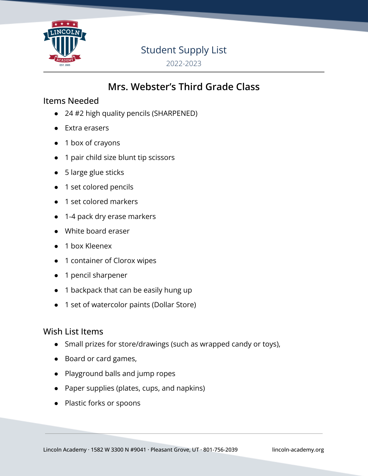

### Student Supply List

2022-2023

## **Mrs. Webster's Third Grade Class**

#### Items Needed

- 24 #2 high quality pencils (SHARPENED)
- Extra erasers
- 1 box of crayons
- 1 pair child size blunt tip scissors
- 5 large glue sticks
- 1 set colored pencils
- 1 set colored markers
- 1-4 pack dry erase markers
- White board eraser
- 1 box Kleenex
- 1 container of Clorox wipes
- 1 pencil sharpener
- 1 backpack that can be easily hung up
- 1 set of watercolor paints (Dollar Store)

#### Wish List Items

- Small prizes for store/drawings (such as wrapped candy or toys),
- Board or card games,
- Playground balls and jump ropes
- Paper supplies (plates, cups, and napkins)
- Plastic forks or spoons